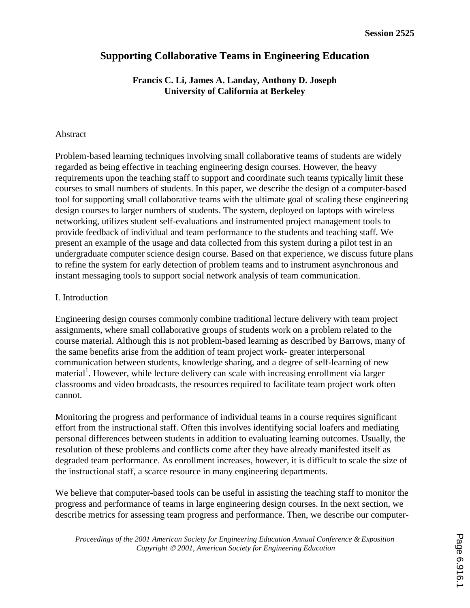# **Supporting Collaborative Teams in Engineering Education**

## **Francis C. Li, James A. Landay, Anthony D. Joseph University of California at Berkeley**

### Abstract

Problem-based learning techniques involving small collaborative teams of students are widely regarded as being effective in teaching engineering design courses. However, the heavy requirements upon the teaching staff to support and coordinate such teams typically limit these courses to small numbers of students. In this paper, we describe the design of a computer-based tool for supporting small collaborative teams with the ultimate goal of scaling these engineering design courses to larger numbers of students. The system, deployed on laptops with wireless networking, utilizes student self-evaluations and instrumented project management tools to provide feedback of individual and team performance to the students and teaching staff. We present an example of the usage and data collected from this system during a pilot test in an undergraduate computer science design course. Based on that experience, we discuss future plans to refine the system for early detection of problem teams and to instrument asynchronous and instant messaging tools to support social network analysis of team communication.

### I. Introduction

Engineering design courses commonly combine traditional lecture delivery with team project assignments, where small collaborative groups of students work on a problem related to the course material. Although this is not problem-based learning as described by Barrows, many of the same benefits arise from the addition of team project work- greater interpersonal communication between students, knowledge sharing, and a degree of self-learning of new material<sup>1</sup>. However, while lecture delivery can scale with increasing enrollment via larger classrooms and video broadcasts, the resources required to facilitate team project work often cannot.

Monitoring the progress and performance of individual teams in a course requires significant effort from the instructional staff. Often this involves identifying social loafers and mediating personal differences between students in addition to evaluating learning outcomes. Usually, the resolution of these problems and conflicts come after they have already manifested itself as degraded team performance. As enrollment increases, however, it is difficult to scale the size of the instructional staff, a scarce resource in many engineering departments.

We believe that computer-based tools can be useful in assisting the teaching staff to monitor the progress and performance of teams in large engineering design courses. In the next section, we describe metrics for assessing team progress and performance. Then, we describe our computer-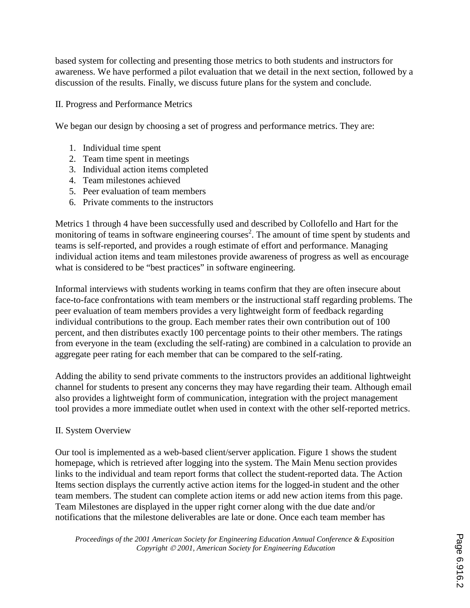based system for collecting and presenting those metrics to both students and instructors for awareness. We have performed a pilot evaluation that we detail in the next section, followed by a discussion of the results. Finally, we discuss future plans for the system and conclude.

### II. Progress and Performance Metrics

We began our design by choosing a set of progress and performance metrics. They are:

- 1. Individual time spent
- 2. Team time spent in meetings
- 3. Individual action items completed
- 4. Team milestones achieved
- 5. Peer evaluation of team members
- 6. Private comments to the instructors

Metrics 1 through 4 have been successfully used and described by Collofello and Hart for the monitoring of teams in software engineering courses<sup>2</sup>. The amount of time spent by students and teams is self-reported, and provides a rough estimate of effort and performance. Managing individual action items and team milestones provide awareness of progress as well as encourage what is considered to be "best practices" in software engineering.

Informal interviews with students working in teams confirm that they are often insecure about face-to-face confrontations with team members or the instructional staff regarding problems. The peer evaluation of team members provides a very lightweight form of feedback regarding individual contributions to the group. Each member rates their own contribution out of 100 percent, and then distributes exactly 100 percentage points to their other members. The ratings from everyone in the team (excluding the self-rating) are combined in a calculation to provide an aggregate peer rating for each member that can be compared to the self-rating.

Adding the ability to send private comments to the instructors provides an additional lightweight channel for students to present any concerns they may have regarding their team. Although email also provides a lightweight form of communication, integration with the project management tool provides a more immediate outlet when used in context with the other self-reported metrics.

## II. System Overview

Our tool is implemented as a web-based client/server application. Figure 1 shows the student homepage, which is retrieved after logging into the system. The Main Menu section provides links to the individual and team report forms that collect the student-reported data. The Action Items section displays the currently active action items for the logged-in student and the other team members. The student can complete action items or add new action items from this page. Team Milestones are displayed in the upper right corner along with the due date and/or notifications that the milestone deliverables are late or done. Once each team member has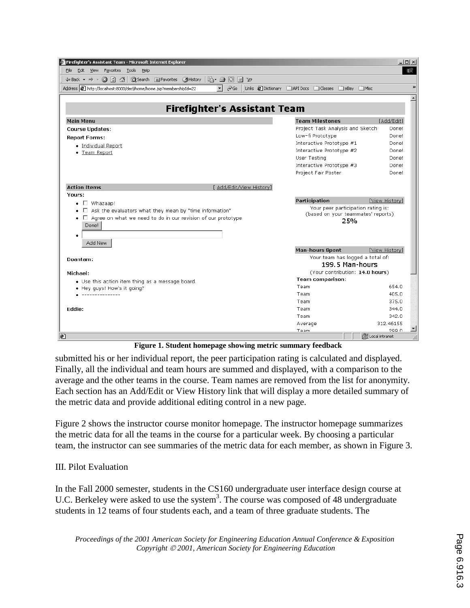| Firefighter's Assistant Team - Microsoft Internet Explorer                                                           |                                                       | $  $ $\Box$ $\times$ $ $ |
|----------------------------------------------------------------------------------------------------------------------|-------------------------------------------------------|--------------------------|
| File Edit View Favorites Tools Help                                                                                  |                                                       | 細                        |
|                                                                                                                      |                                                       |                          |
| Address $\bigcirc$ http://localhost:8000/decl/home/home.jsp?membershipId=22<br>$\overline{\mathbf{v}}$ $\partial$ Go | Links @ Dictionary @ API Docs @ Classes @ eBay @ Misc | $\gg$                    |
|                                                                                                                      |                                                       |                          |
|                                                                                                                      |                                                       |                          |
| <b>Firefighter's Assistant Team</b>                                                                                  |                                                       |                          |
| <b>Main Menu</b>                                                                                                     | <b>Team Milestones</b>                                | [Add/Edit]               |
| <b>Course Updates:</b>                                                                                               | Project Task Analysis and Sketch                      | Done!                    |
| <b>Report Forms:</b>                                                                                                 | Low-fi Prototype                                      | Done!                    |
| · Individual Report                                                                                                  | Interactive Prototype #1                              | Done!                    |
| • Team Report                                                                                                        | Interactive Prototype #2                              | Done!                    |
|                                                                                                                      | User Testing                                          | Done!                    |
|                                                                                                                      | Interactive Prototype #3                              | Done!                    |
|                                                                                                                      | Project Fair Poster                                   | Done!                    |
| <b>Action Items</b><br>[ Add/Edit/View History]                                                                      |                                                       |                          |
| Yours:                                                                                                               |                                                       |                          |
| $\bullet$ $\Box$ Whazaap!                                                                                            | Participation                                         | [View History]           |
| $\Box$ Ask the evaluators what they mean by "time information"                                                       | Your peer participation rating is:                    |                          |
| $\bullet$ $\Box$ Agree on what we need to do in our revision of our prototype                                        | (based on your teammates' reports)                    |                          |
| Done!                                                                                                                | 25%                                                   |                          |
|                                                                                                                      |                                                       |                          |
|                                                                                                                      |                                                       |                          |
| Add New                                                                                                              |                                                       |                          |
|                                                                                                                      | <b>Man-hours Spent</b>                                | [View History]           |
| Doantam:                                                                                                             | Your team has logged a total of:<br>199.5 Man-hours   |                          |
|                                                                                                                      | (Your contribution: 14.0 hours)                       |                          |
| Michael:                                                                                                             | <b>Team comparison:</b>                               |                          |
| . Use this action item thing as a message board.                                                                     | Team                                                  | 654.0                    |
| • Hey quys! How's it going?<br>---------------                                                                       | Team                                                  | 405.0                    |
|                                                                                                                      | Team                                                  | 375.0                    |
| Eddie:                                                                                                               | Team                                                  | 344.0                    |
|                                                                                                                      | Team                                                  | 342.0                    |
|                                                                                                                      | Average                                               | 312.46155                |
|                                                                                                                      | Topm                                                  | 200 n                    |
| $\left  x\right\rangle$                                                                                              |                                                       | de Local intranet        |

**Figure 1. Student homepage showing metric summary feedback**

submitted his or her individual report, the peer participation rating is calculated and displayed. Finally, all the individual and team hours are summed and displayed, with a comparison to the average and the other teams in the course. Team names are removed from the list for anonymity. Each section has an Add/Edit or View History link that will display a more detailed summary of the metric data and provide additional editing control in a new page.

Figure 2 shows the instructor course monitor homepage. The instructor homepage summarizes the metric data for all the teams in the course for a particular week. By choosing a particular team, the instructor can see summaries of the metric data for each member, as shown in Figure 3.

## III. Pilot Evaluation

In the Fall 2000 semester, students in the CS160 undergraduate user interface design course at U.C. Berkeley were asked to use the system<sup>3</sup>. The course was composed of 48 undergraduate students in 12 teams of four students each, and a team of three graduate students. The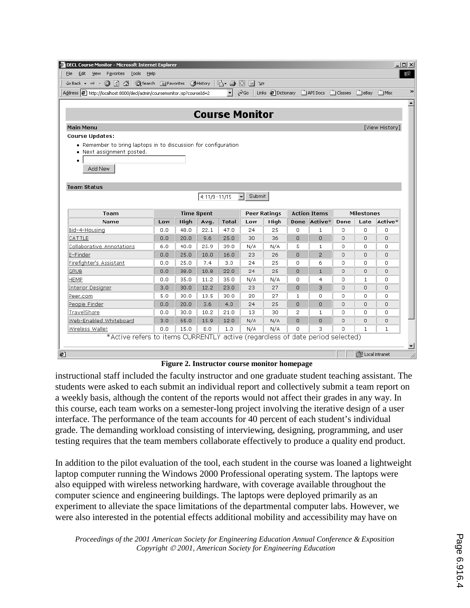| Edit View Favorites Tools<br>Help<br>File<br>Address $\bigcirc$ http://localhost:8000/decl/admin/coursemonitor.jsp?courseId=2 |     |      |                   | B-505 x                    |                        |                     |                |                                         |      |                   |                |
|-------------------------------------------------------------------------------------------------------------------------------|-----|------|-------------------|----------------------------|------------------------|---------------------|----------------|-----------------------------------------|------|-------------------|----------------|
|                                                                                                                               |     |      |                   |                            |                        |                     |                |                                         |      |                   |                |
|                                                                                                                               |     |      |                   |                            |                        |                     |                |                                         |      |                   |                |
|                                                                                                                               |     |      |                   | $\mathbf{r}$ $\partial$ Go |                        |                     |                | Links @ Dictionary   API Docs   Classes |      | eBay              | <b>DIMISC</b>  |
|                                                                                                                               |     |      |                   |                            |                        |                     |                |                                         |      |                   |                |
|                                                                                                                               |     |      |                   |                            | <b>Course Monitor</b>  |                     |                |                                         |      |                   |                |
| <b>Main Menu</b>                                                                                                              |     |      |                   |                            |                        |                     |                |                                         |      |                   | [View History] |
| <b>Course Updates:</b>                                                                                                        |     |      |                   |                            |                        |                     |                |                                         |      |                   |                |
| • Remember to bring laptops in to discussion for configuration                                                                |     |      |                   |                            |                        |                     |                |                                         |      |                   |                |
| • Next assignment posted.                                                                                                     |     |      |                   |                            |                        |                     |                |                                         |      |                   |                |
|                                                                                                                               |     |      |                   |                            |                        |                     |                |                                         |      |                   |                |
| Add New                                                                                                                       |     |      |                   |                            |                        |                     |                |                                         |      |                   |                |
|                                                                                                                               |     |      |                   |                            |                        |                     |                |                                         |      |                   |                |
| <b>Team Status</b>                                                                                                            |     |      |                   |                            |                        |                     |                |                                         |      |                   |                |
|                                                                                                                               |     |      | 4:11/9 - 11/15    |                            | Submit<br>$\mathbf{r}$ |                     |                |                                         |      |                   |                |
|                                                                                                                               |     |      |                   |                            |                        |                     |                |                                         |      |                   |                |
| Team                                                                                                                          |     |      | <b>Time Spent</b> |                            |                        | <b>Peer Ratings</b> |                | <b>Action Items</b>                     |      | <b>Milestones</b> |                |
| Name                                                                                                                          | Low | High | Avq.              | Total                      | Low                    | High                | Done           | Active*                                 | Done | Late              | Active*        |
| Bid-4-Housing                                                                                                                 | 0.0 | 48.0 | 22.1              | 47.0                       | 24                     | 25                  | $\Box$         | $1\,$                                   | 0    | $\Box$            | 0              |
| CATTLE                                                                                                                        | 0.0 | 20.0 | 9.6               | 25.0                       | 30                     | 36                  | $\Omega$       | $\cup$                                  | 0    | $\cap$            | 0              |
| Collaborative Annotations                                                                                                     | 6.0 | 40.0 | 25.9              | 39.0                       | N/A                    | N/A                 | 5              | $\mathbf 1$                             | 0    | $\Omega$          | 0.             |
| E-Finder                                                                                                                      | 0.0 | 25.0 | 10.0              | 16.0                       | 23                     | 26                  | $\Box$         | $\overline{2}$                          | 0    | $\Box$            | 0              |
| Firefighter's Assistant                                                                                                       | 0.0 | 25.0 | 7.4               | 3.0                        | 24                     | 25                  | $\Omega$       | 6                                       | O.   | $\Omega$          | Ω.             |
| <b>GRUB</b>                                                                                                                   | 0.0 | 38.0 | 10.8              | 22.0                       | 24                     | 25                  | $\Box$         | $\mathbf{1}$                            | 0    | $\Box$            | 0              |
| <b>HEMP</b>                                                                                                                   | 0.0 | 35.0 | 11.2              | 35.0                       | N/A                    | N/A                 | n              | $\overline{4}$                          | n.   | $\mathbf{1}$      | Ω.             |
| <b>Interior Designer</b>                                                                                                      | 3,0 | 30.0 | 12.2              | 23.0                       | 23                     | 27                  | $\overline{0}$ | з                                       | 0    | $\cup$            | 0              |
| Peer.com                                                                                                                      | 5.0 | 30.0 | 13.5              | 30.0                       | 20                     | 27                  | 1              | 0                                       | 0    | 0                 | 0              |
| People Finder                                                                                                                 | 0,0 | 20.0 | 3.6               | 4.0                        | 24                     | 25                  | $\Omega$       | $\Omega$                                | 0    | 0                 | 0              |
| TravelShare                                                                                                                   | 0.0 | 30.0 | 10.2              | 21.0                       | 13                     | 30                  | 2              | 1                                       | 0    | 0                 | 0              |
| Web-Enabled Whiteboard                                                                                                        | 3.0 | 65.0 | 15.9              | 12.0                       | N/A                    | N/A                 | $\Omega$       | $\Omega$                                | 0    | $\Box$            | 0              |
| Wireless Wallet                                                                                                               | 0.0 | 15.0 | 8.0               | 1.0                        | N/A                    | N/A                 | 0              | з                                       | 0.   | $\mathbf{1}$      | 1              |
| *Active refers to items CURRENTLY active (regardless of date period selected)                                                 |     |      |                   |                            |                        |                     |                |                                         |      |                   |                |
|                                                                                                                               |     |      |                   |                            |                        |                     |                |                                         |      |                   |                |
|                                                                                                                               |     |      |                   |                            |                        |                     |                |                                         |      |                   |                |

**Figure 2. Instructor course monitor homepage**

instructional staff included the faculty instructor and one graduate student teaching assistant. The students were asked to each submit an individual report and collectively submit a team report on a weekly basis, although the content of the reports would not affect their grades in any way. In this course, each team works on a semester-long project involving the iterative design of a user interface. The performance of the team accounts for 40 percent of each student's individual grade. The demanding workload consisting of interviewing, designing, programming, and user testing requires that the team members collaborate effectively to produce a quality end product.

In addition to the pilot evaluation of the tool, each student in the course was loaned a lightweight laptop computer running the Windows 2000 Professional operating system. The laptops were also equipped with wireless networking hardware, with coverage available throughout the computer science and engineering buildings. The laptops were deployed primarily as an experiment to alleviate the space limitations of the departmental computer labs. However, we were also interested in the potential effects additional mobility and accessibility may have on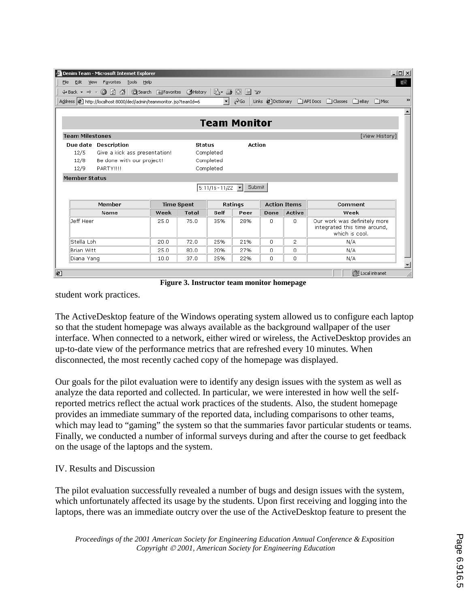| <b>Team Milestones</b> |                   |                                                            |           |                                                                                                                       |        |                               |                                                                                | [View History] |
|------------------------|-------------------|------------------------------------------------------------|-----------|-----------------------------------------------------------------------------------------------------------------------|--------|-------------------------------|--------------------------------------------------------------------------------|----------------|
| Due date Description   |                   |                                                            |           |                                                                                                                       |        |                               |                                                                                |                |
|                        |                   |                                                            |           |                                                                                                                       |        |                               |                                                                                |                |
|                        |                   |                                                            |           |                                                                                                                       |        |                               |                                                                                |                |
|                        |                   |                                                            |           |                                                                                                                       |        |                               |                                                                                |                |
| PARTY!!!!              |                   |                                                            | Completed |                                                                                                                       |        |                               |                                                                                |                |
| <b>Member Status</b>   |                   |                                                            |           |                                                                                                                       |        |                               |                                                                                |                |
|                        |                   |                                                            |           | 5:11/16-11/22 $\blacktriangleright$ Submit                                                                            |        |                               |                                                                                |                |
| Member                 | <b>Time Spent</b> |                                                            |           | Ratings                                                                                                               |        | <b>Action Items</b>           | Comment                                                                        |                |
| Name                   | Week              | <b>Total</b>                                               | Self      | Peer                                                                                                                  | Done   | Active                        | Week                                                                           |                |
|                        | 25.0              | 76.0                                                       | 35%       | 28%                                                                                                                   | 0      | 0                             | Our work was definitely more<br>integrated this time around,<br>which is cool. |                |
|                        | 20.0              | 72.0                                                       | 25%       | 21%                                                                                                                   | $\Box$ | 2                             | N/A                                                                            |                |
|                        | 25.0              | 80.0                                                       | 20%       | 27%                                                                                                                   | Ω.     | 0                             | N/A                                                                            |                |
|                        |                   | Give a kick ass presentation!<br>Be done with our project! |           | Address <b>@</b> http://localhost:8000/decl/admin/teammonitor.jsp?teamId=6<br><b>Status</b><br>Completed<br>Completed |        | <b>Team Monitor</b><br>Action |                                                                                |                |

**Figure 3. Instructor team monitor homepage**

student work practices.

The ActiveDesktop feature of the Windows operating system allowed us to configure each laptop so that the student homepage was always available as the background wallpaper of the user interface. When connected to a network, either wired or wireless, the ActiveDesktop provides an up-to-date view of the performance metrics that are refreshed every 10 minutes. When disconnected, the most recently cached copy of the homepage was displayed.

Our goals for the pilot evaluation were to identify any design issues with the system as well as analyze the data reported and collected. In particular, we were interested in how well the selfreported metrics reflect the actual work practices of the students. Also, the student homepage provides an immediate summary of the reported data, including comparisons to other teams, which may lead to "gaming" the system so that the summaries favor particular students or teams. Finally, we conducted a number of informal surveys during and after the course to get feedback on the usage of the laptops and the system.

### IV. Results and Discussion

The pilot evaluation successfully revealed a number of bugs and design issues with the system, which unfortunately affected its usage by the students. Upon first receiving and logging into the laptops, there was an immediate outcry over the use of the ActiveDesktop feature to present the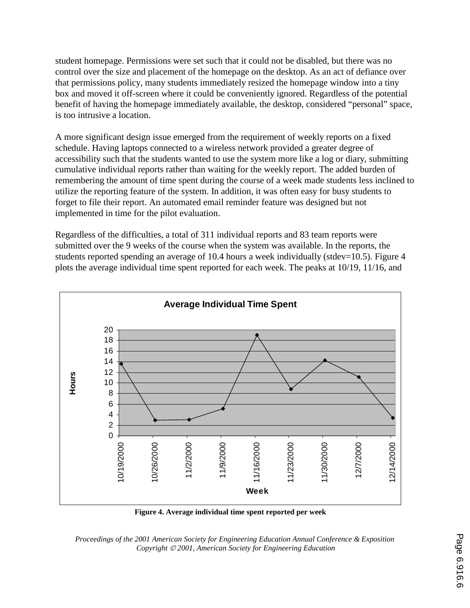student homepage. Permissions were set such that it could not be disabled, but there was no control over the size and placement of the homepage on the desktop. As an act of defiance over that permissions policy, many students immediately resized the homepage window into a tiny box and moved it off-screen where it could be conveniently ignored. Regardless of the potential benefit of having the homepage immediately available, the desktop, considered "personal" space, is too intrusive a location.

A more significant design issue emerged from the requirement of weekly reports on a fixed schedule. Having laptops connected to a wireless network provided a greater degree of accessibility such that the students wanted to use the system more like a log or diary, submitting cumulative individual reports rather than waiting for the weekly report. The added burden of remembering the amount of time spent during the course of a week made students less inclined to utilize the reporting feature of the system. In addition, it was often easy for busy students to forget to file their report. An automated email reminder feature was designed but not implemented in time for the pilot evaluation.

Regardless of the difficulties, a total of 311 individual reports and 83 team reports were submitted over the 9 weeks of the course when the system was available. In the reports, the students reported spending an average of 10.4 hours a week individually (stdev=10.5). Figure 4 plots the average individual time spent reported for each week. The peaks at 10/19, 11/16, and



**Figure 4. Average individual time spent reported per week**

*Proceedings of the 2001 American Society for Engineering Education Annual Conference & Exposition Copyright 2001, American Society for Engineering Education*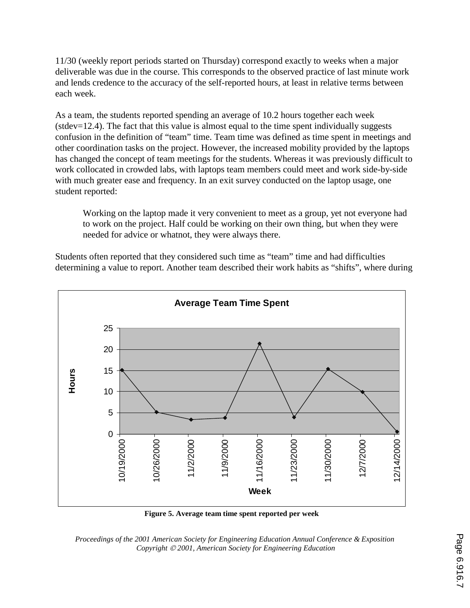11/30 (weekly report periods started on Thursday) correspond exactly to weeks when a major deliverable was due in the course. This corresponds to the observed practice of last minute work and lends credence to the accuracy of the self-reported hours, at least in relative terms between each week.

As a team, the students reported spending an average of 10.2 hours together each week (stdev=12.4). The fact that this value is almost equal to the time spent individually suggests confusion in the definition of "team" time. Team time was defined as time spent in meetings and other coordination tasks on the project. However, the increased mobility provided by the laptops has changed the concept of team meetings for the students. Whereas it was previously difficult to work collocated in crowded labs, with laptops team members could meet and work side-by-side with much greater ease and frequency. In an exit survey conducted on the laptop usage, one student reported:

Working on the laptop made it very convenient to meet as a group, yet not everyone had to work on the project. Half could be working on their own thing, but when they were needed for advice or whatnot, they were always there.

Students often reported that they considered such time as "team" time and had difficulties determining a value to report. Another team described their work habits as "shifts", where during



**Figure 5. Average team time spent reported per week**

*Proceedings of the 2001 American Society for Engineering Education Annual Conference & Exposition Copyright 2001, American Society for Engineering Education*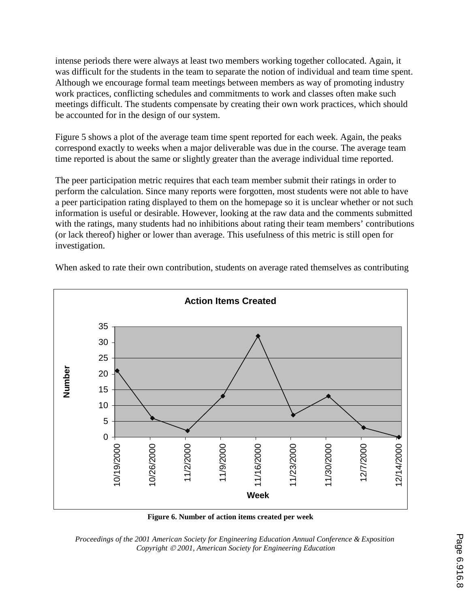intense periods there were always at least two members working together collocated. Again, it was difficult for the students in the team to separate the notion of individual and team time spent. Although we encourage formal team meetings between members as way of promoting industry work practices, conflicting schedules and commitments to work and classes often make such meetings difficult. The students compensate by creating their own work practices, which should be accounted for in the design of our system.

Figure 5 shows a plot of the average team time spent reported for each week. Again, the peaks correspond exactly to weeks when a major deliverable was due in the course. The average team time reported is about the same or slightly greater than the average individual time reported.

The peer participation metric requires that each team member submit their ratings in order to perform the calculation. Since many reports were forgotten, most students were not able to have a peer participation rating displayed to them on the homepage so it is unclear whether or not such information is useful or desirable. However, looking at the raw data and the comments submitted with the ratings, many students had no inhibitions about rating their team members' contributions (or lack thereof) higher or lower than average. This usefulness of this metric is still open for investigation.





**Figure 6. Number of action items created per week**

*Proceedings of the 2001 American Society for Engineering Education Annual Conference & Exposition Copyright 2001, American Society for Engineering Education*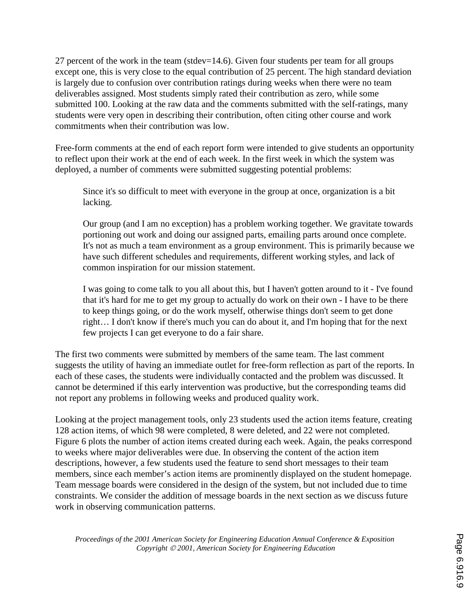27 percent of the work in the team (stdev=14.6). Given four students per team for all groups except one, this is very close to the equal contribution of 25 percent. The high standard deviation is largely due to confusion over contribution ratings during weeks when there were no team deliverables assigned. Most students simply rated their contribution as zero, while some submitted 100. Looking at the raw data and the comments submitted with the self-ratings, many students were very open in describing their contribution, often citing other course and work commitments when their contribution was low.

Free-form comments at the end of each report form were intended to give students an opportunity to reflect upon their work at the end of each week. In the first week in which the system was deployed, a number of comments were submitted suggesting potential problems:

Since it's so difficult to meet with everyone in the group at once, organization is a bit lacking.

Our group (and I am no exception) has a problem working together. We gravitate towards portioning out work and doing our assigned parts, emailing parts around once complete. It's not as much a team environment as a group environment. This is primarily because we have such different schedules and requirements, different working styles, and lack of common inspiration for our mission statement.

I was going to come talk to you all about this, but I haven't gotten around to it - I've found that it's hard for me to get my group to actually do work on their own - I have to be there to keep things going, or do the work myself, otherwise things don't seem to get done right… I don't know if there's much you can do about it, and I'm hoping that for the next few projects I can get everyone to do a fair share.

The first two comments were submitted by members of the same team. The last comment suggests the utility of having an immediate outlet for free-form reflection as part of the reports. In each of these cases, the students were individually contacted and the problem was discussed. It cannot be determined if this early intervention was productive, but the corresponding teams did not report any problems in following weeks and produced quality work.

Looking at the project management tools, only 23 students used the action items feature, creating 128 action items, of which 98 were completed, 8 were deleted, and 22 were not completed. Figure 6 plots the number of action items created during each week. Again, the peaks correspond to weeks where major deliverables were due. In observing the content of the action item descriptions, however, a few students used the feature to send short messages to their team members, since each member's action items are prominently displayed on the student homepage. Team message boards were considered in the design of the system, but not included due to time constraints. We consider the addition of message boards in the next section as we discuss future work in observing communication patterns.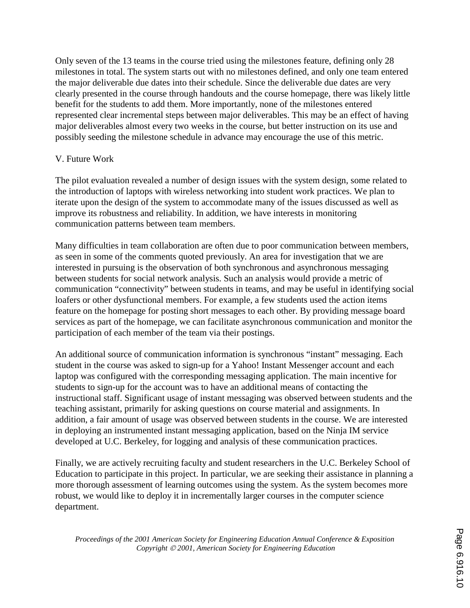Only seven of the 13 teams in the course tried using the milestones feature, defining only 28 milestones in total. The system starts out with no milestones defined, and only one team entered the major deliverable due dates into their schedule. Since the deliverable due dates are very clearly presented in the course through handouts and the course homepage, there was likely little benefit for the students to add them. More importantly, none of the milestones entered represented clear incremental steps between major deliverables. This may be an effect of having major deliverables almost every two weeks in the course, but better instruction on its use and possibly seeding the milestone schedule in advance may encourage the use of this metric.

## V. Future Work

The pilot evaluation revealed a number of design issues with the system design, some related to the introduction of laptops with wireless networking into student work practices. We plan to iterate upon the design of the system to accommodate many of the issues discussed as well as improve its robustness and reliability. In addition, we have interests in monitoring communication patterns between team members.

Many difficulties in team collaboration are often due to poor communication between members, as seen in some of the comments quoted previously. An area for investigation that we are interested in pursuing is the observation of both synchronous and asynchronous messaging between students for social network analysis. Such an analysis would provide a metric of communication "connectivity" between students in teams, and may be useful in identifying social loafers or other dysfunctional members. For example, a few students used the action items feature on the homepage for posting short messages to each other. By providing message board services as part of the homepage, we can facilitate asynchronous communication and monitor the participation of each member of the team via their postings.

An additional source of communication information is synchronous "instant" messaging. Each student in the course was asked to sign-up for a Yahoo! Instant Messenger account and each laptop was configured with the corresponding messaging application. The main incentive for students to sign-up for the account was to have an additional means of contacting the instructional staff. Significant usage of instant messaging was observed between students and the teaching assistant, primarily for asking questions on course material and assignments. In addition, a fair amount of usage was observed between students in the course. We are interested in deploying an instrumented instant messaging application, based on the Ninja IM service developed at U.C. Berkeley, for logging and analysis of these communication practices.

Finally, we are actively recruiting faculty and student researchers in the U.C. Berkeley School of Education to participate in this project. In particular, we are seeking their assistance in planning a more thorough assessment of learning outcomes using the system. As the system becomes more robust, we would like to deploy it in incrementally larger courses in the computer science department.